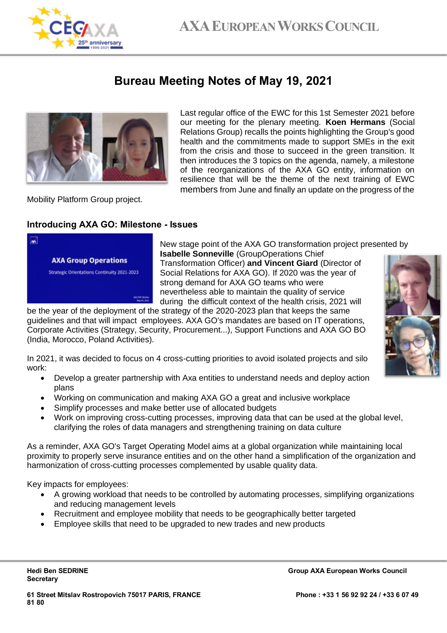

## **Bureau Meeting Notes of May 19, 2021**



Last regular office of the EWC for this 1st Semester 2021 before our meeting for the plenary meeting. **Koen Hermans** (Social Relations Group) recalls the points highlighting the Group's good health and the commitments made to support SMEs in the exit from the crisis and those to succeed in the green transition. It then introduces the 3 topics on the agenda, namely, a milestone of the reorganizations of the AXA GO entity, information on resilience that will be the theme of the next training of EWC members from June and finally an update on the progress of the

Mobility Platform Group project.

#### **Introducing AXA GO: Milestone - Issues**



New stage point of the AXA GO transformation project presented by **Isabelle Sonneville** (GroupOperations Chief

Transformation Officer) **and Vincent Giard** (Director of Social Relations for AXA GO). If 2020 was the year of strong demand for AXA GO teams who were nevertheless able to maintain the quality of service during the difficult context of the health crisis, 2021 will

be the year of the deployment of the strategy of the 2020-2023 plan that keeps the same guidelines and that will impact employees. AXA GO's mandates are based on IT operations, Corporate Activities (Strategy, Security, Procurement...), Support Functions and AXA GO BO (India, Morocco, Poland Activities).

In 2021, it was decided to focus on 4 cross-cutting priorities to avoid isolated projects and silo work:

- Develop a greater partnership with Axa entities to understand needs and deploy action plans
- Working on communication and making AXA GO a great and inclusive workplace
- Simplify processes and make better use of allocated budgets
- Work on improving cross-cutting processes, improving data that can be used at the global level, clarifying the roles of data managers and strengthening training on data culture

As a reminder, AXA GO's Target Operating Model aims at a global organization while maintaining local proximity to properly serve insurance entities and on the other hand a simplification of the organization and harmonization of cross-cutting processes complemented by usable quality data.

Key impacts for employees:

- A growing workload that needs to be controlled by automating processes, simplifying organizations and reducing management levels
- Recruitment and employee mobility that needs to be geographically better targeted
- Employee skills that need to be upgraded to new trades and new products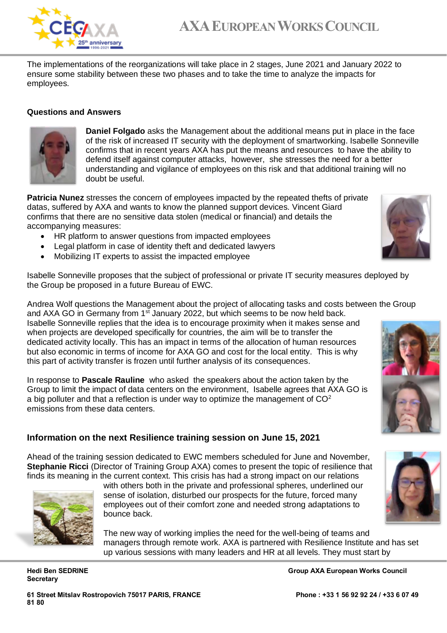

# **AXAEUROPEAN WORKS COUNCIL**

The implementations of the reorganizations will take place in 2 stages, June 2021 and January 2022 to ensure some stability between these two phases and to take the time to analyze the impacts for employees.

#### **Questions and Answers**



**Daniel Folgado** asks the Management about the additional means put in place in the face of the risk of increased IT security with the deployment of smartworking. Isabelle Sonneville confirms that in recent years AXA has put the means and resources to have the ability to defend itself against computer attacks, however, she stresses the need for a better understanding and vigilance of employees on this risk and that additional training will no doubt be useful.

**Patricia Nunez** stresses the concern of employees impacted by the repeated thefts of private datas, suffered by AXA and wants to know the planned support devices. Vincent Giard confirms that there are no sensitive data stolen (medical or financial) and details the accompanying measures:

- HR platform to answer questions from impacted employees
- Legal platform in case of identity theft and dedicated lawyers
- Mobilizing IT experts to assist the impacted employee

Isabelle Sonneville proposes that the subject of professional or private IT security measures deployed by the Group be proposed in a future Bureau of EWC.

Andrea Wolf questions the Management about the project of allocating tasks and costs between the Group and AXA GO in Germany from 1<sup>st</sup> January 2022, but which seems to be now held back.

Isabelle Sonneville replies that the idea is to encourage proximity when it makes sense and when projects are developed specifically for countries, the aim will be to transfer the dedicated activity locally. This has an impact in terms of the allocation of human resources but also economic in terms of income for AXA GO and cost for the local entity. This is why this part of activity transfer is frozen until further analysis of its consequences.

In response to **Pascale Rauline** who asked the speakers about the action taken by the Group to limit the impact of data centers on the environment, Isabelle agrees that AXA GO is a big polluter and that a reflection is under way to optimize the management of  $CO<sup>2</sup>$ emissions from these data centers.

### **Information on the next Resilience training session on June 15, 2021**

Ahead of the training session dedicated to EWC members scheduled for June and November, **Stephanie Ricci** (Director of Training Group AXA) comes to present the topic of resilience that finds its meaning in the current context. This crisis has had a strong impact on our relations





The new way of working implies the need for the well-being of teams and managers through remote work. AXA is partnered with Resilience Institute and has set up various sessions with many leaders and HR at all levels. They must start by

**Secretary**

**Hedi Ben SEDRINE Group AXA European Works Council** 



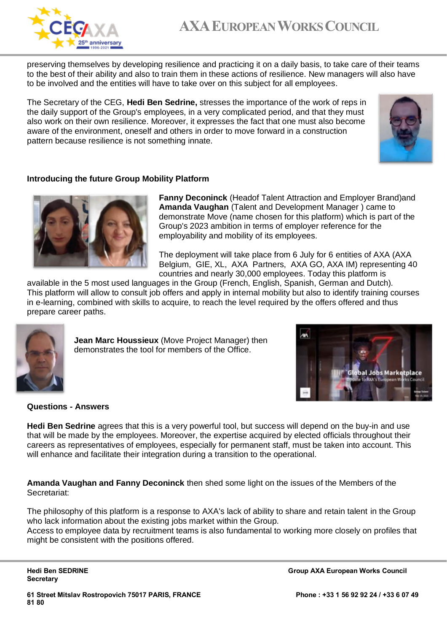

preserving themselves by developing resilience and practicing it on a daily basis, to take care of their teams to the best of their ability and also to train them in these actions of resilience. New managers will also have to be involved and the entities will have to take over on this subject for all employees.

The Secretary of the CEG, **Hedi Ben Sedrine,** stresses the importance of the work of reps in the daily support of the Group's employees, in a very complicated period, and that they must also work on their own resilience. Moreover, it expresses the fact that one must also become aware of the environment, oneself and others in order to move forward in a construction pattern because resilience is not something innate.



#### **Introducing the future Group Mobility Platform**



**Fanny Deconinck** (Headof Talent Attraction and Employer Brand)and **Amanda Vaughan** (Talent and Development Manager ) came to demonstrate Move (name chosen for this platform) which is part of the Group's 2023 ambition in terms of employer reference for the employability and mobility of its employees.

The deployment will take place from 6 July for 6 entities of AXA (AXA Belgium, GIE, XL, AXA Partners, AXA GO, AXA IM) representing 40 countries and nearly 30,000 employees. Today this platform is

available in the 5 most used languages in the Group (French, English, Spanish, German and Dutch). This platform will allow to consult job offers and apply in internal mobility but also to identify training courses in e-learning, combined with skills to acquire, to reach the level required by the offers offered and thus prepare career paths.



**Jean Marc Houssieux** (Move Project Manager) then demonstrates the tool for members of the Office.



#### **Questions - Answers**

**Hedi Ben Sedrine** agrees that this is a very powerful tool, but success will depend on the buy-in and use that will be made by the employees. Moreover, the expertise acquired by elected officials throughout their careers as representatives of employees, especially for permanent staff, must be taken into account. This will enhance and facilitate their integration during a transition to the operational.

**Amanda Vaughan and Fanny Deconinck** then shed some light on the issues of the Members of the Secretariat:

The philosophy of this platform is a response to AXA's lack of ability to share and retain talent in the Group who lack information about the existing jobs market within the Group.

Access to employee data by recruitment teams is also fundamental to working more closely on profiles that might be consistent with the positions offered.